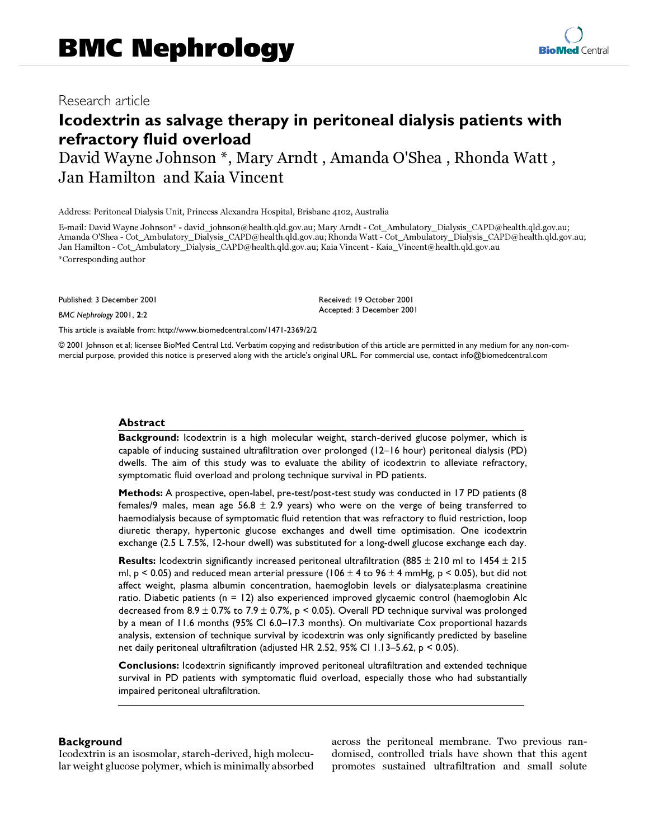# Research article

# **Icodextrin as salvage therapy in peritoneal dialysis patients with refractory fluid overload**

David Wayne Johnson \*, Mary Arndt , Amanda O'Shea , Rhonda Watt , Jan Hamilton and Kaia Vincent

Address: Peritoneal Dialysis Unit, Princess Alexandra Hospital, Brisbane 4102, Australia

E-mail: David Wayne Johnson\* - david\_johnson@health.qld.gov.au; Mary Arndt - Cot\_Ambulatory\_Dialysis\_CAPD@health.qld.gov.au; Amanda O'Shea - Cot\_Ambulatory\_Dialysis\_CAPD@health.qld.gov.au; Rhonda Watt - Cot\_Ambulatory\_Dialysis\_CAPD@health.qld.gov.au; Jan Hamilton - Cot\_Ambulatory\_Dialysis\_CAPD@health.qld.gov.au; Kaia Vincent - Kaia\_Vincent@health.qld.gov.au \*Corresponding author

Published: 3 December 2001

*BMC Nephrology* 2001, **2**:2

Received: 19 October 2001 Accepted: 3 December 2001

[This article is available from: http://www.biomedcentral.com/1471-2369/2/2](http://www.biomedcentral.com/1471-2369/2/2)

© 2001 Johnson et al; licensee BioMed Central Ltd. Verbatim copying and redistribution of this article are permitted in any medium for any non-commercial purpose, provided this notice is preserved along with the article's original URL. For commercial use, contact info@biomedcentral.com

## **Abstract**

**Background:** Icodextrin is a high molecular weight, starch-derived glucose polymer, which is capable of inducing sustained ultrafiltration over prolonged (12–16 hour) peritoneal dialysis (PD) dwells. The aim of this study was to evaluate the ability of icodextrin to alleviate refractory, symptomatic fluid overload and prolong technique survival in PD patients.

**Methods:** A prospective, open-label, pre-test/post-test study was conducted in 17 PD patients (8 females/9 males, mean age 56.8  $\pm$  2.9 years) who were on the verge of being transferred to haemodialysis because of symptomatic fluid retention that was refractory to fluid restriction, loop diuretic therapy, hypertonic glucose exchanges and dwell time optimisation. One icodextrin exchange (2.5 L 7.5%, 12-hour dwell) was substituted for a long-dwell glucose exchange each day.

**Results:** Icodextrin significantly increased peritoneal ultrafiltration (885 ± 210 ml to 1454 ± 215 ml, p < 0.05) and reduced mean arterial pressure (106  $\pm$  4 to 96  $\pm$  4 mmHg, p < 0.05), but did not affect weight, plasma albumin concentration, haemoglobin levels or dialysate:plasma creatinine ratio. Diabetic patients (n = 12) also experienced improved glycaemic control (haemoglobin Alc decreased from 8.9  $\pm$  0.7% to 7.9  $\pm$  0.7%, p < 0.05). Overall PD technique survival was prolonged by a mean of 11.6 months (95% CI 6.0–17.3 months). On multivariate Cox proportional hazards analysis, extension of technique survival by icodextrin was only significantly predicted by baseline net daily peritoneal ultrafiltration (adjusted HR 2.52, 95% CI 1.13–5.62, p < 0.05).

**Conclusions:** Icodextrin significantly improved peritoneal ultrafiltration and extended technique survival in PD patients with symptomatic fluid overload, especially those who had substantially impaired peritoneal ultrafiltration.

# **Background**

Icodextrin is an isosmolar, starch-derived, high molecular weight glucose polymer, which is minimally absorbed across the peritoneal membrane. Two previous randomised, controlled trials have shown that this agent promotes sustained ultrafiltration and small solute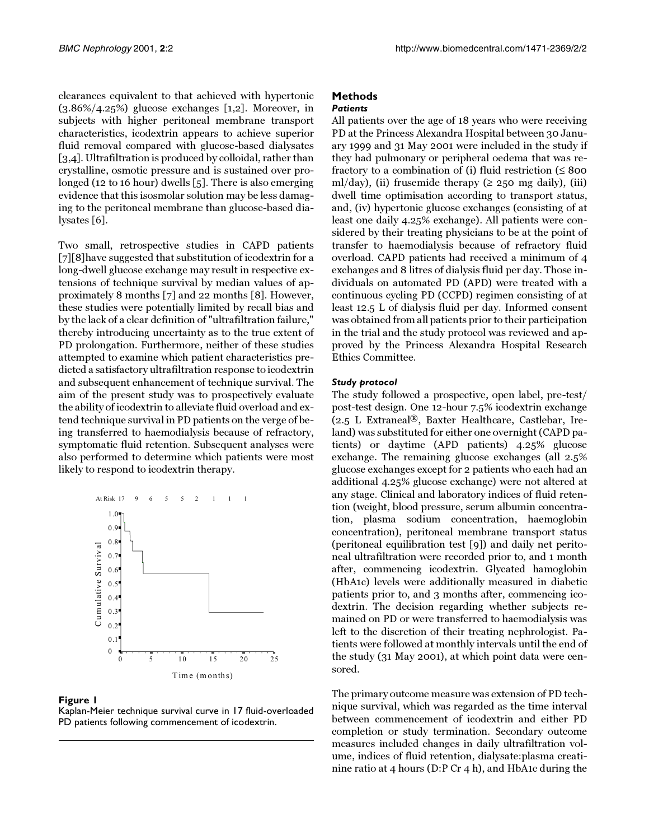clearances equivalent to that achieved with hypertonic (3.86%/4.25%) glucose exchanges [\[1](#page-5-0)[,2](#page-5-1)]. Moreover, in subjects with higher peritoneal membrane transport characteristics, icodextrin appears to achieve superior fluid removal compared with glucose-based dialysates [[3](#page-5-2),[4](#page-5-3)]. Ultrafiltration is produced by colloidal, rather than crystalline, osmotic pressure and is sustained over prolonged (12 to 16 hour) dwells [\[5](#page-5-4)]. There is also emerging evidence that this isosmolar solution may be less damaging to the peritoneal membrane than glucose-based dialysates [\[6\]](#page-5-5).

Two small, retrospective studies in CAPD patients [[7\]](#page-5-6)[\[8\]](#page-5-7)have suggested that substitution of icodextrin for a long-dwell glucose exchange may result in respective extensions of technique survival by median values of approximately 8 months [\[7](#page-5-6)] and 22 months [\[8](#page-5-7)]. However, these studies were potentially limited by recall bias and by the lack of a clear definition of "ultrafiltration failure," thereby introducing uncertainty as to the true extent of PD prolongation. Furthermore, neither of these studies attempted to examine which patient characteristics predicted a satisfactory ultrafiltration response to icodextrin and subsequent enhancement of technique survival. The aim of the present study was to prospectively evaluate the ability of icodextrin to alleviate fluid overload and extend technique survival in PD patients on the verge of being transferred to haemodialysis because of refractory, symptomatic fluid retention. Subsequent analyses were also performed to determine which patients were most likely to respond to icodextrin therapy.



#### <span id="page-1-0"></span>**Figure 1**

Kaplan-Meier technique survival curve in 17 fluid-overloaded PD patients following commencement of icodextrin.

# **Methods**

*Patients*

All patients over the age of 18 years who were receiving PD at the Princess Alexandra Hospital between 30 January 1999 and 31 May 2001 were included in the study if they had pulmonary or peripheral oedema that was refractory to a combination of (i) fluid restriction (≤ 800 ml/day), (ii) frusemide therapy ( $\geq$  250 mg daily), (iii) dwell time optimisation according to transport status, and, (iv) hypertonic glucose exchanges (consisting of at least one daily 4.25% exchange). All patients were considered by their treating physicians to be at the point of transfer to haemodialysis because of refractory fluid overload. CAPD patients had received a minimum of 4 exchanges and 8 litres of dialysis fluid per day. Those individuals on automated PD (APD) were treated with a continuous cycling PD (CCPD) regimen consisting of at least 12.5 L of dialysis fluid per day. Informed consent was obtained from all patients prior to their participation in the trial and the study protocol was reviewed and approved by the Princess Alexandra Hospital Research Ethics Committee.

#### *Study protocol*

The study followed a prospective, open label, pre-test/ post-test design. One 12-hour 7.5% icodextrin exchange (2.5 L Extraneal*®*, Baxter Healthcare, Castlebar, Ireland) was substituted for either one overnight (CAPD patients) or daytime (APD patients) 4.25% glucose exchange. The remaining glucose exchanges (all 2.5% glucose exchanges except for 2 patients who each had an additional 4.25% glucose exchange) were not altered at any stage. Clinical and laboratory indices of fluid retention (weight, blood pressure, serum albumin concentration, plasma sodium concentration, haemoglobin concentration), peritoneal membrane transport status (peritoneal equilibration test [\[9](#page-5-8)]) and daily net peritoneal ultrafiltration were recorded prior to, and 1 month after, commencing icodextrin. Glycated hamoglobin (HbA1c) levels were additionally measured in diabetic patients prior to, and 3 months after, commencing icodextrin. The decision regarding whether subjects remained on PD or were transferred to haemodialysis was left to the discretion of their treating nephrologist. Patients were followed at monthly intervals until the end of the study (31 May 2001), at which point data were censored.

The primary outcome measure was extension of PD technique survival, which was regarded as the time interval between commencement of icodextrin and either PD completion or study termination. Secondary outcome measures included changes in daily ultrafiltration volume, indices of fluid retention, dialysate:plasma creatinine ratio at 4 hours (D:P Cr 4 h), and HbA1c during the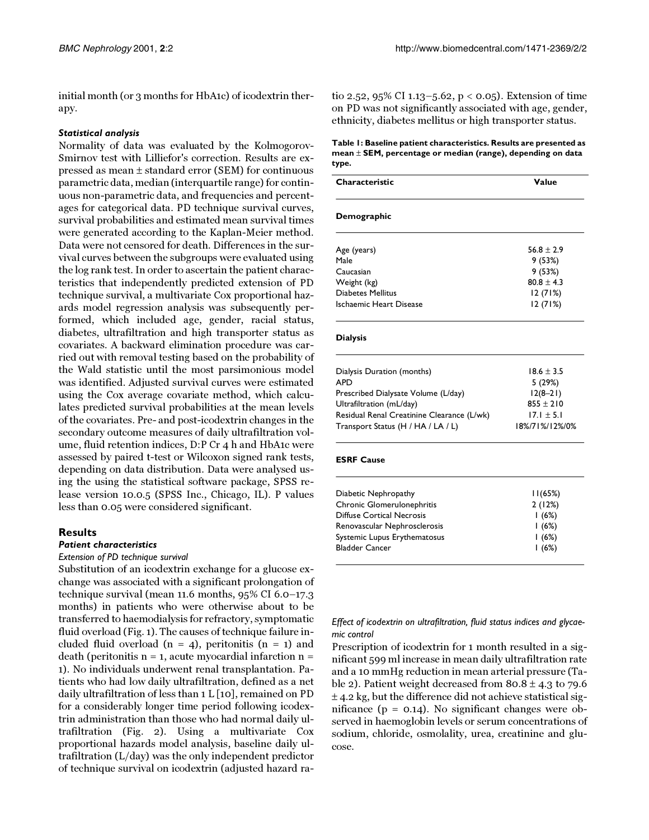initial month (or 3 months for HbA1c) of icodextrin therapy.

#### *Statistical analysis*

Normality of data was evaluated by the Kolmogorov-Smirnov test with Lilliefor's correction. Results are expressed as mean ± standard error (SEM) for continuous parametric data, median (interquartile range) for continuous non-parametric data, and frequencies and percentages for categorical data. PD technique survival curves, survival probabilities and estimated mean survival times were generated according to the Kaplan-Meier method. Data were not censored for death. Differences in the survival curves between the subgroups were evaluated using the log rank test. In order to ascertain the patient characteristics that independently predicted extension of PD technique survival, a multivariate Cox proportional hazards model regression analysis was subsequently performed, which included age, gender, racial status, diabetes, ultrafiltration and high transporter status as covariates. A backward elimination procedure was carried out with removal testing based on the probability of the Wald statistic until the most parsimonious model was identified. Adjusted survival curves were estimated using the Cox average covariate method, which calculates predicted survival probabilities at the mean levels of the covariates. Pre- and post-icodextrin changes in the secondary outcome measures of daily ultrafiltration volume, fluid retention indices, D:P Cr 4 h and HbA1c were assessed by paired t-test or Wilcoxon signed rank tests, depending on data distribution. Data were analysed using the using the statistical software package, SPSS release version 10.0.5 (SPSS Inc., Chicago, IL). P values less than 0.05 were considered significant.

## **Results**

#### *Patient characteristics*

#### *Extension of PD technique survival*

<span id="page-2-0"></span>Substitution of an icodextrin exchange for a glucose exchange was associated with a significant prolongation of technique survival (mean 11.6 months, 95% CI 6.0–17.3 months) in patients who were otherwise about to be transferred to haemodialysis for refractory, symptomatic fluid overload (Fig. [1](#page-1-0)). The causes of technique failure included fluid overload  $(n = 4)$ , peritonitis  $(n = 1)$  and death (peritonitis  $n = 1$ , acute myocardial infarction  $n =$ 1). No individuals underwent renal transplantation. Patients who had low daily ultrafiltration, defined as a net daily ultrafiltration of less than 1 L [[10](#page-5-9)], remained on PD for a considerably longer time period following icodextrin administration than those who had normal daily ultrafiltration (Fig. [2\)](#page-3-0). Using a multivariate Cox proportional hazards model analysis, baseline daily ultrafiltration (L/day) was the only independent predictor of technique survival on icodextrin (adjusted hazard ratio 2.52, 95% CI 1.13–5.62, p < 0.05). Extension of time on PD was not significantly associated with age, gender, ethnicity, diabetes mellitus or high transporter status.

#### **Table 1: Baseline patient characteristics. Results are presented as mean** ± **SEM, percentage or median (range), depending on data type.**

| Characteristic           | Value          |
|--------------------------|----------------|
| Demographic              |                |
| Age (years)              | $56.8 \pm 2.9$ |
| Male                     | 9(53%)         |
| Caucasian                | 9(53%)         |
| Weight (kg)              | $80.8 \pm 4.3$ |
| <b>Diabetes Mellitus</b> | 12(71%)        |
| Ischaemic Heart Disease  | 12(71%)        |

#### **Dialysis**

| Dialysis Duration (months)                 | $18.6 \pm 3.5$ |
|--------------------------------------------|----------------|
| <b>APD</b>                                 | 5(29%)         |
| Prescribed Dialysate Volume (L/day)        | $12(8-21)$     |
| Ultrafiltration (mL/day)                   | $855 \pm 210$  |
| Residual Renal Creatinine Clearance (L/wk) | $17.1 \pm 5.1$ |
| Transport Status (H / HA / LA / L)         | 18%/71%/12%/0% |

#### **ESRF Cause**

| Diabetic Nephropathy         | 11(65%) |
|------------------------------|---------|
| Chronic Glomerulonephritis   | 2(12%)  |
| Diffuse Cortical Necrosis    | 1(6%)   |
| Renovascular Nephrosclerosis | 1(6%)   |
| Systemic Lupus Erythematosus | 1(6%)   |
| <b>Bladder Cancer</b>        | 1(6%)   |
|                              |         |

#### *Effect of icodextrin on ultrafiltration, fluid status indices and glycaemic control*

Prescription of icodextrin for 1 month resulted in a significant 599 ml increase in mean daily ultrafiltration rate and a 10 mmHg reduction in mean arterial pressure (Ta-ble [2](#page-2-0)). Patient weight decreased from  $80.8 \pm 4.3$  to 79.6  $\pm$  4.2 kg, but the difference did not achieve statistical significance (p = 0.14). No significant changes were observed in haemoglobin levels or serum concentrations of sodium, chloride, osmolality, urea, creatinine and glucose.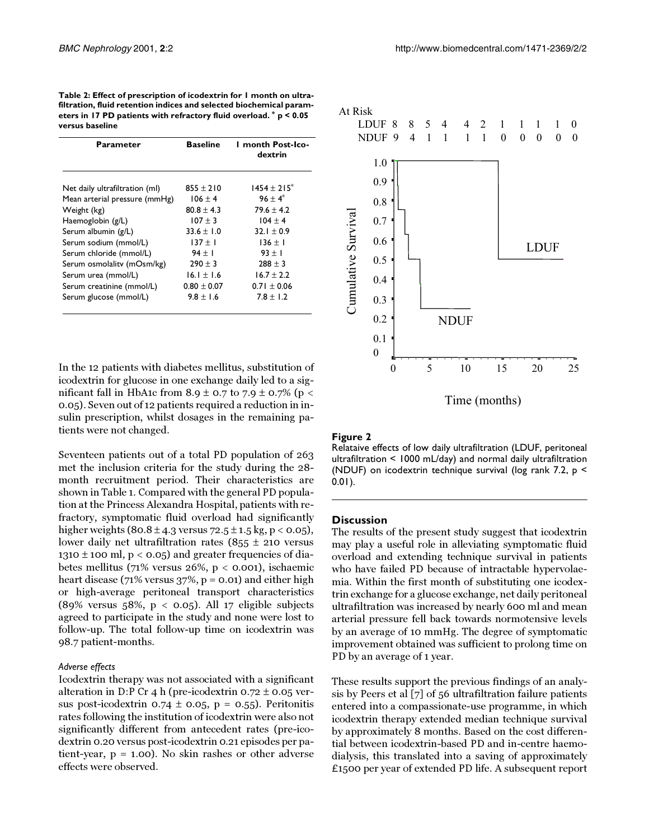**Table 2: Effect of prescription of icodextrin for 1 month on ultrafiltration, fluid retention indices and selected biochemical parameters in 17 PD patients with refractory fluid overload. \* p < 0.05 versus baseline**

| Parameter                      | <b>Baseline</b> | I month Post-Ico-<br>dextrin |
|--------------------------------|-----------------|------------------------------|
| Net daily ultrafiltration (ml) | $855 + 210$     | $1454 \pm 215$ <sup>*</sup>  |
| Mean arterial pressure (mmHg)  | $106 \pm 4$     | $96 \pm 4^*$                 |
| Weight (kg)                    | $80.8 \pm 4.3$  | $79.6 \pm 4.2$               |
| Haemoglobin (g/L)              | $107 \pm 3$     | $104 \pm 4$                  |
| Serum albumin (g/L)            | $33.6 \pm 1.0$  | $32.1 \pm 0.9$               |
| Serum sodium (mmol/L)          | $137 \pm 1$     | $136 \pm 1$                  |
| Serum chloride (mmol/L)        | $94 \pm 1$      | $93 \pm 1$                   |
| Serum osmolality (mOsm/kg)     | $290 \pm 3$     | $288 \pm 3$                  |
| Serum urea (mmol/L)            | $16.1 \pm 1.6$  | $16.7 \pm 2.2$               |
| Serum creatinine (mmol/L)      | $0.80 \pm 0.07$ | $0.71 \pm 0.06$              |
| Serum glucose (mmol/L)         | $9.8 \pm 1.6$   | $7.8 \pm 1.2$                |

In the 12 patients with diabetes mellitus, substitution of icodextrin for glucose in one exchange daily led to a significant fall in HbA1c from 8.9  $\pm$  0.7 to 7.9  $\pm$  0.7% (p < 0.05). Seven out of 12 patients required a reduction in insulin prescription, whilst dosages in the remaining patients were not changed.

Seventeen patients out of a total PD population of 263 met the inclusion criteria for the study during the 28 month recruitment period. Their characteristics are shown in Table [1.](#page-2-0) Compared with the general PD population at the Princess Alexandra Hospital, patients with refractory, symptomatic fluid overload had significantly higher weights (80.8  $\pm$  4.3 versus 72.5  $\pm$  1.5 kg, p < 0.05), lower daily net ultrafiltration rates  $(855 \pm 210 \text{ versus}$ 1310  $\pm$  100 ml, p < 0.05) and greater frequencies of diabetes mellitus (71% versus 26%,  $p < 0.001$ ), ischaemic heart disease (71% versus  $37\%$ , p = 0.01) and either high or high-average peritoneal transport characteristics (89% versus 58%,  $p < 0.05$ ). All 17 eligible subjects agreed to participate in the study and none were lost to follow-up. The total follow-up time on icodextrin was 98.7 patient-months.

#### *Adverse effects*

Icodextrin therapy was not associated with a significant alteration in D:P Cr 4 h (pre-icodextrin  $0.72 \pm 0.05$  versus post-icodextrin 0.74  $\pm$  0.05, p = 0.55). Peritonitis rates following the institution of icodextrin were also not significantly different from antecedent rates (pre-icodextrin 0.20 versus post-icodextrin 0.21 episodes per patient-year,  $p = 1.00$ . No skin rashes or other adverse effects were observed.



#### <span id="page-3-0"></span>**Figure 2**

Relataive effects of low daily ultrafiltration (LDUF, peritoneal ultrafiltration < 1000 mL/day) and normal daily ultrafiltration (NDUF) on icodextrin technique survival (log rank 7.2, p < 0.01).

#### **Discussion**

The results of the present study suggest that icodextrin may play a useful role in alleviating symptomatic fluid overload and extending technique survival in patients who have failed PD because of intractable hypervolaemia. Within the first month of substituting one icodextrin exchange for a glucose exchange, net daily peritoneal ultrafiltration was increased by nearly 600 ml and mean arterial pressure fell back towards normotensive levels by an average of 10 mmHg. The degree of symptomatic improvement obtained was sufficient to prolong time on PD by an average of 1 year.

These results support the previous findings of an analysis by Peers et al [\[7](#page-5-6)] of 56 ultrafiltration failure patients entered into a compassionate-use programme, in which icodextrin therapy extended median technique survival by approximately 8 months. Based on the cost differential between icodextrin-based PD and in-centre haemodialysis, this translated into a saving of approximately £1500 per year of extended PD life. A subsequent report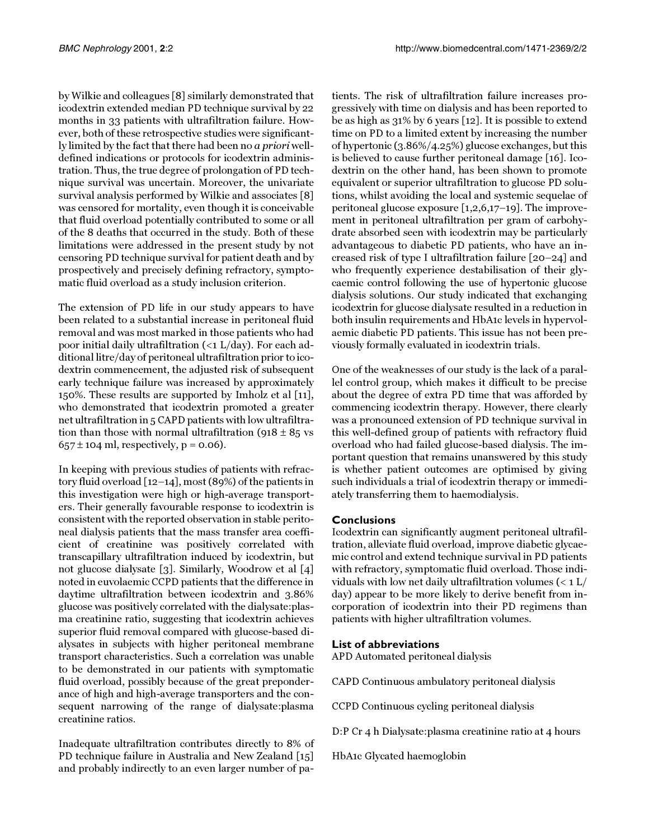by Wilkie and colleagues [[8](#page-5-7)] similarly demonstrated that icodextrin extended median PD technique survival by 22 months in 33 patients with ultrafiltration failure. However, both of these retrospective studies were significantly limited by the fact that there had been no a priori welldefined indications or protocols for icodextrin administration. Thus, the true degree of prolongation of PD technique survival was uncertain. Moreover, the univariate survival analysis performed by Wilkie and associates [[8](#page-5-7)] was censored for mortality, even though it is conceivable that fluid overload potentially contributed to some or all of the 8 deaths that occurred in the study. Both of these limitations were addressed in the present study by not censoring PD technique survival for patient death and by prospectively and precisely defining refractory, symptomatic fluid overload as a study inclusion criterion.

The extension of PD life in our study appears to have been related to a substantial increase in peritoneal fluid removal and was most marked in those patients who had poor initial daily ultrafiltration (<1 L/day). For each additional litre/day of peritoneal ultrafiltration prior to icodextrin commencement, the adjusted risk of subsequent early technique failure was increased by approximately 150%. These results are supported by Imholz et al [[11\]](#page-5-10), who demonstrated that icodextrin promoted a greater net ultrafiltration in 5 CAPD patients with low ultrafiltration than those with normal ultrafiltration (918  $\pm$  85 vs  $657 \pm 104$  ml, respectively, p = 0.06).

In keeping with previous studies of patients with refractory fluid overload [\[12](#page-5-11)[–14\]](#page-5-12), most (89%) of the patients in this investigation were high or high-average transporters. Their generally favourable response to icodextrin is consistent with the reported observation in stable peritoneal dialysis patients that the mass transfer area coefficient of creatinine was positively correlated with transcapillary ultrafiltration induced by icodextrin, but not glucose dialysate [\[3](#page-5-2)]. Similarly, Woodrow et al [\[4](#page-5-3)] noted in euvolaemic CCPD patients that the difference in daytime ultrafiltration between icodextrin and 3.86% glucose was positively correlated with the dialysate:plasma creatinine ratio, suggesting that icodextrin achieves superior fluid removal compared with glucose-based dialysates in subjects with higher peritoneal membrane transport characteristics. Such a correlation was unable to be demonstrated in our patients with symptomatic fluid overload, possibly because of the great preponderance of high and high-average transporters and the consequent narrowing of the range of dialysate:plasma creatinine ratios.

Inadequate ultrafiltration contributes directly to 8% of PD technique failure in Australia and New Zealand [\[15](#page-5-13)] and probably indirectly to an even larger number of pa-

tients. The risk of ultrafiltration failure increases progressively with time on dialysis and has been reported to be as high as 31% by 6 years [\[12](#page-5-11)]. It is possible to extend time on PD to a limited extent by increasing the number of hypertonic (3.86%/4.25%) glucose exchanges, but this is believed to cause further peritoneal damage [\[16](#page-5-14)]. Icodextrin on the other hand, has been shown to promote equivalent or superior ultrafiltration to glucose PD solutions, whilst avoiding the local and systemic sequelae of peritoneal glucose exposure [[1](#page-5-0),[2](#page-5-1),[6](#page-5-5)[,17](#page-5-15)[–19](#page-5-16)]. The improvement in peritoneal ultrafiltration per gram of carbohydrate absorbed seen with icodextrin may be particularly advantageous to diabetic PD patients, who have an increased risk of type I ultrafiltration failure [[20](#page-5-17)[–24](#page-5-18)] and who frequently experience destabilisation of their glycaemic control following the use of hypertonic glucose dialysis solutions. Our study indicated that exchanging icodextrin for glucose dialysate resulted in a reduction in both insulin requirements and HbA1c levels in hypervolaemic diabetic PD patients. This issue has not been previously formally evaluated in icodextrin trials.

One of the weaknesses of our study is the lack of a parallel control group, which makes it difficult to be precise about the degree of extra PD time that was afforded by commencing icodextrin therapy. However, there clearly was a pronounced extension of PD technique survival in this well-defined group of patients with refractory fluid overload who had failed glucose-based dialysis. The important question that remains unanswered by this study is whether patient outcomes are optimised by giving such individuals a trial of icodextrin therapy or immediately transferring them to haemodialysis.

# **Conclusions**

Icodextrin can significantly augment peritoneal ultrafiltration, alleviate fluid overload, improve diabetic glycaemic control and extend technique survival in PD patients with refractory, symptomatic fluid overload. Those individuals with low net daily ultrafiltration volumes  $(< 1$  L/ day) appear to be more likely to derive benefit from incorporation of icodextrin into their PD regimens than patients with higher ultrafiltration volumes.

# **List of abbreviations**

APD Automated peritoneal dialysis

CAPD Continuous ambulatory peritoneal dialysis

CCPD Continuous cycling peritoneal dialysis

D:P Cr 4 h Dialysate:plasma creatinine ratio at 4 hours

HbA1c Glycated haemoglobin